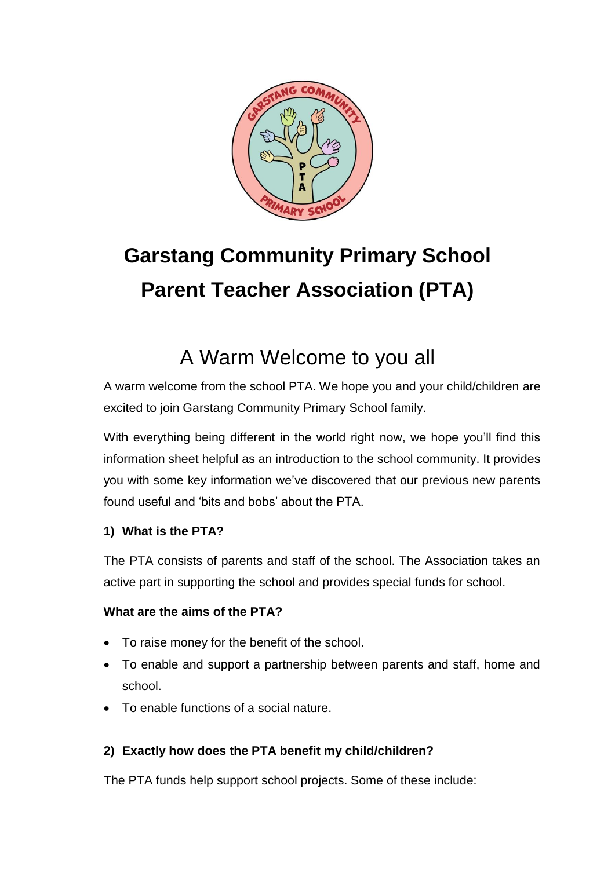

# **Garstang Community Primary School Parent Teacher Association (PTA)**

# A Warm Welcome to you all

A warm welcome from the school PTA. We hope you and your child/children are excited to join Garstang Community Primary School family.

With everything being different in the world right now, we hope you'll find this information sheet helpful as an introduction to the school community. It provides you with some key information we've discovered that our previous new parents found useful and 'bits and bobs' about the PTA.

# **1) What is the PTA?**

The PTA consists of parents and staff of the school. The Association takes an active part in supporting the school and provides special funds for school.

## **What are the aims of the PTA?**

- To raise money for the benefit of the school.
- To enable and support a partnership between parents and staff, home and school.
- To enable functions of a social nature.

# **2) Exactly how does the PTA benefit my child/children?**

The PTA funds help support school projects. Some of these include: